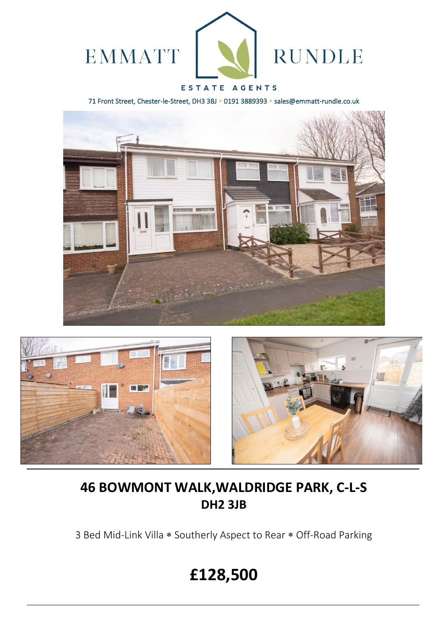

# ESTATE AGENTS

71 Front Street, Chester-le-Street, DH3 3BJ \* 0191 3889393 \* sales@emmatt-rundle.co.uk







# **46 BOWMONT WALK,WALDRIDGE PARK, C-L-S DH2 3JB**

3 Bed Mid-Link Villa \* Southerly Aspect to Rear \* Off-Road Parking

# **£128,500**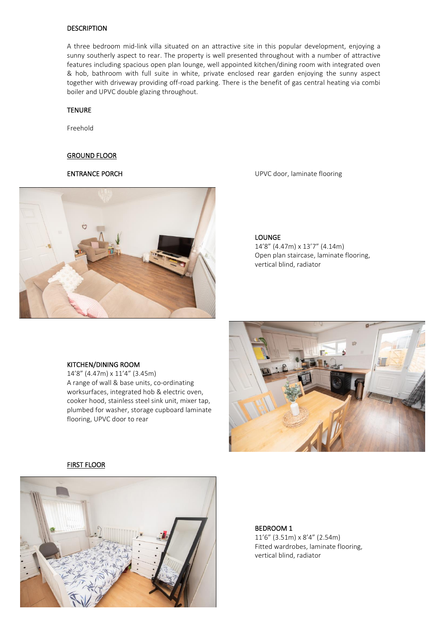# **DESCRIPTION**

A three bedroom mid-link villa situated on an attractive site in this popular development, enjoying a sunny southerly aspect to rear. The property is well presented throughout with a number of attractive features including spacious open plan lounge, well appointed kitchen/dining room with integrated oven & hob, bathroom with full suite in white, private enclosed rear garden enjoying the sunny aspect together with driveway providing off-road parking. There is the benefit of gas central heating via combi boiler and UPVC double glazing throughout.

# TENURE

Freehold

#### GROUND FLOOR



ENTRANCE PORCH UPVC door, laminate flooring

### LOUNGE

14'8" (4.47m) x 13'7" (4.14m) Open plan staircase, laminate flooring, vertical blind, radiator

### KITCHEN/DINING ROOM

14'8" (4.47m) x 11'4" (3.45m) A range of wall & base units, co-ordinating worksurfaces, integrated hob & electric oven, cooker hood, stainless steel sink unit, mixer tap, plumbed for washer, storage cupboard laminate flooring, UPVC door to rear



### FIRST FLOOR



### BEDROOM 1

11'6" (3.51m) x 8'4" (2.54m) Fitted wardrobes, laminate flooring, vertical blind, radiator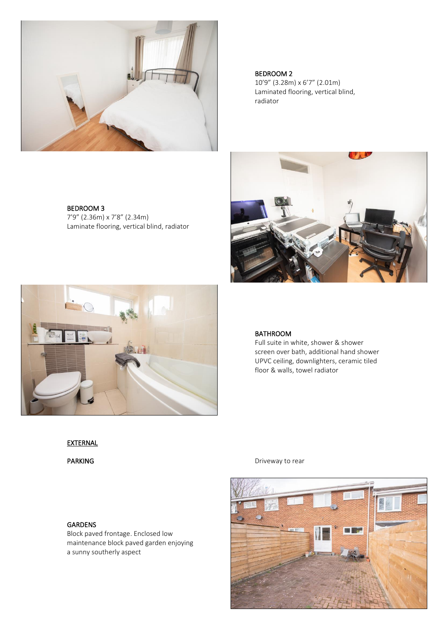

BEDROOM 3 7'9" (2.36m) x 7'8" (2.34m) Laminate flooring, vertical blind, radiator



Laminated flooring, vertical blind, radiator





# BATHROOM

Full suite in white, shower & shower screen over bath, additional hand shower UPVC ceiling, downlighters, ceramic tiled floor & walls, towel radiator

# **EXTERNAL**

PARKING Driveway to rear





Block paved frontage. Enclosed low maintenance block paved garden enjoying a sunny southerly aspect